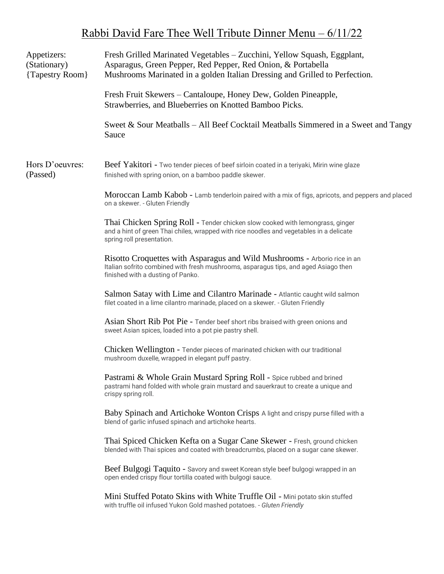## Rabbi David Fare Thee Well Tribute Dinner Menu – 6/11/22

| Appetizers:<br>(Stationary)<br>{Tapestry Room} | Fresh Grilled Marinated Vegetables - Zucchini, Yellow Squash, Eggplant,<br>Asparagus, Green Pepper, Red Pepper, Red Onion, & Portabella<br>Mushrooms Marinated in a golden Italian Dressing and Grilled to Perfection. |
|------------------------------------------------|------------------------------------------------------------------------------------------------------------------------------------------------------------------------------------------------------------------------|
|                                                | Fresh Fruit Skewers – Cantaloupe, Honey Dew, Golden Pineapple,<br>Strawberries, and Blueberries on Knotted Bamboo Picks.                                                                                               |
|                                                | Sweet & Sour Meatballs – All Beef Cocktail Meatballs Simmered in a Sweet and Tangy<br>Sauce                                                                                                                            |
| Hors D'oeuvres:<br>(Passed)                    | Beef Yakitori - Two tender pieces of beef sirloin coated in a teriyaki, Mirin wine glaze<br>finished with spring onion, on a bamboo paddle skewer.                                                                     |
|                                                | Moroccan Lamb Kabob - Lamb tenderloin paired with a mix of figs, apricots, and peppers and placed<br>on a skewer. - Gluten Friendly                                                                                    |
|                                                | Thai Chicken Spring Roll - Tender chicken slow cooked with lemongrass, ginger<br>and a hint of green Thai chiles, wrapped with rice noodles and vegetables in a delicate<br>spring roll presentation.                  |
|                                                | Risotto Croquettes with Asparagus and Wild Mushrooms - Arborio rice in an<br>Italian sofrito combined with fresh mushrooms, asparagus tips, and aged Asiago then<br>finished with a dusting of Panko.                  |
|                                                | Salmon Satay with Lime and Cilantro Marinade - Atlantic caught wild salmon<br>filet coated in a lime cilantro marinade, placed on a skewer. - Gluten Friendly                                                          |
|                                                | Asian Short Rib Pot Pie - Tender beef short ribs braised with green onions and<br>sweet Asian spices, loaded into a pot pie pastry shell.                                                                              |
|                                                | Chicken Wellington - Tender pieces of marinated chicken with our traditional<br>mushroom duxelle, wrapped in elegant puff pastry.                                                                                      |
|                                                | Pastrami & Whole Grain Mustard Spring Roll - Spice rubbed and brined<br>pastrami hand folded with whole grain mustard and sauerkraut to create a unique and<br>crispy spring roll.                                     |
|                                                | Baby Spinach and Artichoke Wonton Crisps A light and crispy purse filled with a<br>blend of garlic infused spinach and artichoke hearts.                                                                               |
|                                                | Thai Spiced Chicken Kefta on a Sugar Cane Skewer - Fresh, ground chicken<br>blended with Thai spices and coated with breadcrumbs, placed on a sugar cane skewer.                                                       |
|                                                | Beef Bulgogi Taquito - Savory and sweet Korean style beef bulgogi wrapped in an<br>open ended crispy flour tortilla coated with bulgogi sauce.                                                                         |
|                                                | Mini Stuffed Potato Skins with White Truffle Oil - Mini potato skin stuffed<br>with truffle oil infused Yukon Gold mashed potatoes. - Gluten Friendly                                                                  |
|                                                |                                                                                                                                                                                                                        |